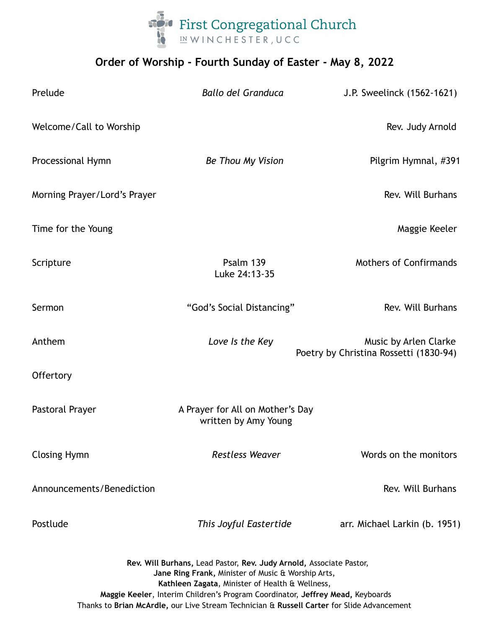

# **Order of Worship - Fourth Sunday of Easter - May 8, 2022**

| Prelude                                                                                                                                                                                                                                                                                                                                                      | <b>Ballo del Granduca</b>                                | J.P. Sweelinck (1562-1621)                                      |
|--------------------------------------------------------------------------------------------------------------------------------------------------------------------------------------------------------------------------------------------------------------------------------------------------------------------------------------------------------------|----------------------------------------------------------|-----------------------------------------------------------------|
| Welcome/Call to Worship                                                                                                                                                                                                                                                                                                                                      |                                                          | Rev. Judy Arnold                                                |
| <b>Processional Hymn</b>                                                                                                                                                                                                                                                                                                                                     | <b>Be Thou My Vision</b>                                 | Pilgrim Hymnal, #391                                            |
| Morning Prayer/Lord's Prayer                                                                                                                                                                                                                                                                                                                                 |                                                          | Rev. Will Burhans                                               |
| Time for the Young                                                                                                                                                                                                                                                                                                                                           |                                                          | Maggie Keeler                                                   |
| Scripture                                                                                                                                                                                                                                                                                                                                                    | Psalm 139<br>Luke 24:13-35                               | <b>Mothers of Confirmands</b>                                   |
| Sermon                                                                                                                                                                                                                                                                                                                                                       | "God's Social Distancing"                                | Rev. Will Burhans                                               |
| Anthem                                                                                                                                                                                                                                                                                                                                                       | Love Is the Key                                          | Music by Arlen Clarke<br>Poetry by Christina Rossetti (1830-94) |
| Offertory                                                                                                                                                                                                                                                                                                                                                    |                                                          |                                                                 |
| Pastoral Prayer                                                                                                                                                                                                                                                                                                                                              | A Prayer for All on Mother's Day<br>written by Amy Young |                                                                 |
| <b>Closing Hymn</b>                                                                                                                                                                                                                                                                                                                                          | <b>Restless Weaver</b>                                   | Words on the monitors                                           |
| Announcements/Benediction                                                                                                                                                                                                                                                                                                                                    |                                                          | Rev. Will Burhans                                               |
| Postlude                                                                                                                                                                                                                                                                                                                                                     | This Joyful Eastertide                                   | arr. Michael Larkin (b. 1951)                                   |
| Rev. Will Burhans, Lead Pastor, Rev. Judy Arnold, Associate Pastor,<br>Jane Ring Frank, Minister of Music & Worship Arts,<br>Kathleen Zagata, Minister of Health & Wellness,<br>Maggie Keeler, Interim Children's Program Coordinator, Jeffrey Mead, Keyboards<br>Thanks to Brian McArdle, our Live Stream Technician & Russell Carter for Slide Advancement |                                                          |                                                                 |